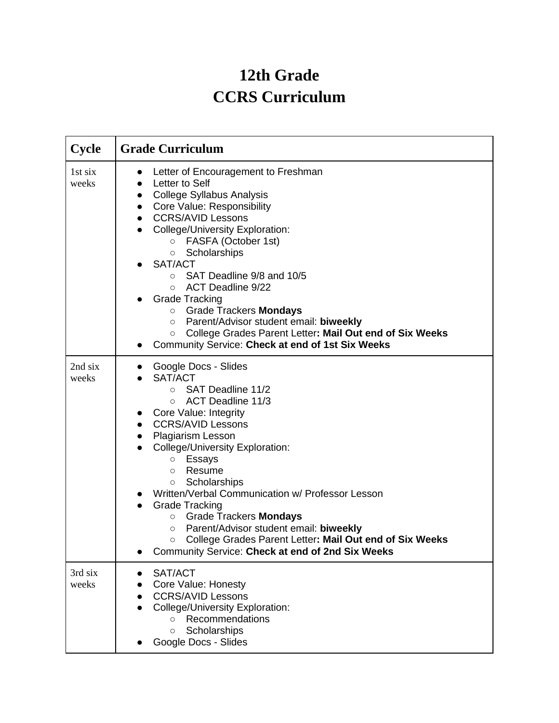## **12th Grade CCRS Curriculum**

| Cycle            | <b>Grade Curriculum</b>                                                                                                                                                                                                                                                                                                                                                                                                                                                                                                                                                                                                                 |
|------------------|-----------------------------------------------------------------------------------------------------------------------------------------------------------------------------------------------------------------------------------------------------------------------------------------------------------------------------------------------------------------------------------------------------------------------------------------------------------------------------------------------------------------------------------------------------------------------------------------------------------------------------------------|
| 1st six<br>weeks | Letter of Encouragement to Freshman<br>$\bullet$<br>Letter to Self<br><b>College Syllabus Analysis</b><br>$\bullet$<br>Core Value: Responsibility<br>$\bullet$<br><b>CCRS/AVID Lessons</b><br><b>College/University Exploration:</b><br>FASFA (October 1st)<br>$\circ$<br>Scholarships<br>$\circ$<br>SAT/ACT<br>SAT Deadline 9/8 and 10/5<br>$\circ$<br><b>ACT Deadline 9/22</b><br>$\circ$<br><b>Grade Tracking</b><br><b>O</b> Grade Trackers <b>Mondays</b><br>Parent/Advisor student email: biweekly<br>O<br>College Grades Parent Letter: Mail Out end of Six Weeks<br>$\circ$<br>Community Service: Check at end of 1st Six Weeks |
| 2nd six<br>weeks | Google Docs - Slides<br>SAT/ACT<br>SAT Deadline 11/2<br>$\circ$<br>ACT Deadline 11/3<br>$\circ$<br>Core Value: Integrity<br>$\bullet$<br><b>CCRS/AVID Lessons</b><br>$\bullet$<br>Plagiarism Lesson<br>$\bullet$<br><b>College/University Exploration:</b><br>Essays<br>$\circ$<br>Resume<br>$\circ$<br>Scholarships<br>О<br>Written/Verbal Communication w/ Professor Lesson<br><b>Grade Tracking</b><br><b>Grade Trackers Mondays</b><br>$\circ$<br>Parent/Advisor student email: biweekly<br>$\circ$<br>College Grades Parent Letter: Mail Out end of Six Weeks<br>О<br>Community Service: Check at end of 2nd Six Weeks             |
| 3rd six<br>weeks | SAT/ACT<br>$\bullet$<br>Core Value: Honesty<br><b>CCRS/AVID Lessons</b><br>College/University Exploration:<br>Recommendations<br>$\circ$<br>Scholarships<br>$\circ$<br>Google Docs - Slides                                                                                                                                                                                                                                                                                                                                                                                                                                             |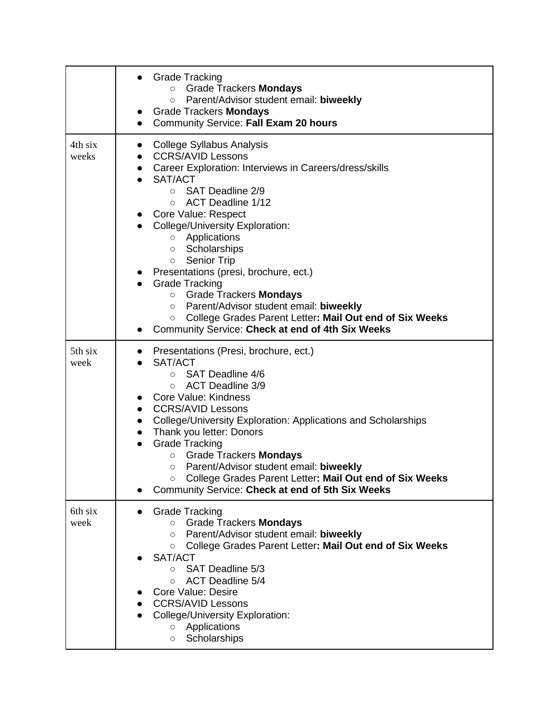|                  | <b>Grade Tracking</b><br><b>Grade Trackers Mondays</b><br>$\circ$<br>Parent/Advisor student email: biweekly<br>$\circ$<br>Grade Trackers Mondays<br>$\bullet$<br>Community Service: Fall Exam 20 hours<br>$\bullet$                                                                                                                                                                                                                                                                                                                                                                                                                           |
|------------------|-----------------------------------------------------------------------------------------------------------------------------------------------------------------------------------------------------------------------------------------------------------------------------------------------------------------------------------------------------------------------------------------------------------------------------------------------------------------------------------------------------------------------------------------------------------------------------------------------------------------------------------------------|
| 4th six<br>weeks | <b>College Syllabus Analysis</b><br>$\bullet$<br><b>CCRS/AVID Lessons</b><br>$\bullet$<br>• Career Exploration: Interviews in Careers/dress/skills<br>SAT/ACT<br>○ SAT Deadline 2/9<br>ACT Deadline 1/12<br>$\circ$<br>Core Value: Respect<br><b>College/University Exploration:</b><br>o Applications<br>Scholarships<br>$\circ$<br>○ Senior Trip<br>Presentations (presi, brochure, ect.)<br><b>Grade Tracking</b><br><b>O</b> Grade Trackers <b>Mondays</b><br>Parent/Advisor student email: biweekly<br>$\circ$<br>College Grades Parent Letter: Mail Out end of Six Weeks<br>$\circ$<br>Community Service: Check at end of 4th Six Weeks |
| 5th six<br>week  | Presentations (Presi, brochure, ect.)<br>SAT/ACT<br>SAT Deadline 4/6<br>$\circ$<br><b>ACT Deadline 3/9</b><br>$\circ$<br>Core Value: Kindness<br>$\bullet$<br><b>CCRS/AVID Lessons</b><br>$\bullet$<br><b>College/University Exploration: Applications and Scholarships</b><br>$\bullet$<br>Thank you letter: Donors<br>$\bullet$<br><b>Grade Tracking</b><br>Grade Trackers Mondays<br>$\circ$<br>Parent/Advisor student email: biweekly<br>$\circ$<br>College Grades Parent Letter: Mail Out end of Six Weeks<br>Community Service: Check at end of 5th Six Weeks                                                                           |
| 6th six<br>week  | <b>Grade Tracking</b><br><b>Grade Trackers Mondays</b><br>$\circ$<br>Parent/Advisor student email: biweekly<br>$\circ$<br>College Grades Parent Letter: Mail Out end of Six Weeks<br>$\circ$<br>SAT/ACT<br>SAT Deadline 5/3<br>$\circ$<br><b>ACT Deadline 5/4</b><br>$\circ$<br><b>Core Value: Desire</b><br><b>CCRS/AVID Lessons</b><br><b>College/University Exploration:</b><br>Applications<br>$\circ$<br>Scholarships<br>$\circ$                                                                                                                                                                                                         |